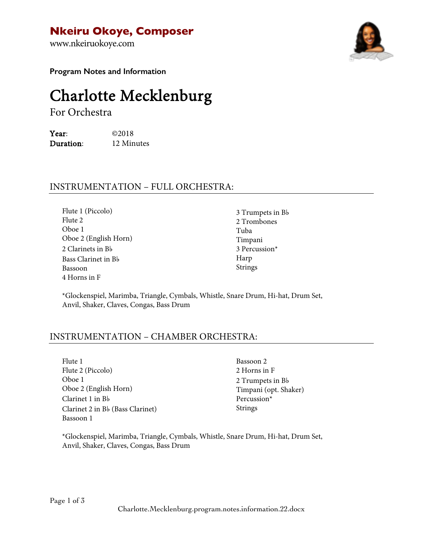**Nkeiru Okoye, Composer**

www.nkeiruokoye.com



**Program Notes and Information**

# Charlotte Mecklenburg For Orchestra

Year: ©2018 Duration: 12 Minutes

## INSTRUMENTATION – FULL ORCHESTRA:

Flute 1 (Piccolo) Flute 2 Oboe 1 Oboe 2 (English Horn) 2 Clarinets in B♭ Bass Clarinet in B♭ Bassoon 4 Horns in F

3 Trumpets in B♭ 2 Trombones Tuba Timpani 3 Percussion\* Harp Strings

\*Glockenspiel, Marimba, Triangle, Cymbals, Whistle, Snare Drum, Hi-hat, Drum Set, Anvil, Shaker, Claves, Congas, Bass Drum

### INSTRUMENTATION – CHAMBER ORCHESTRA:

Flute 1 Flute 2 (Piccolo) Oboe 1 Oboe 2 (English Horn) Clarinet 1 in B♭ Clarinet 2 in B♭ (Bass Clarinet) Bassoon 1

Bassoon 2 2 Horns in F 2 Trumpets in B♭ Timpani (opt. Shaker) Percussion\* Strings

\*Glockenspiel, Marimba, Triangle, Cymbals, Whistle, Snare Drum, Hi-hat, Drum Set, Anvil, Shaker, Claves, Congas, Bass Drum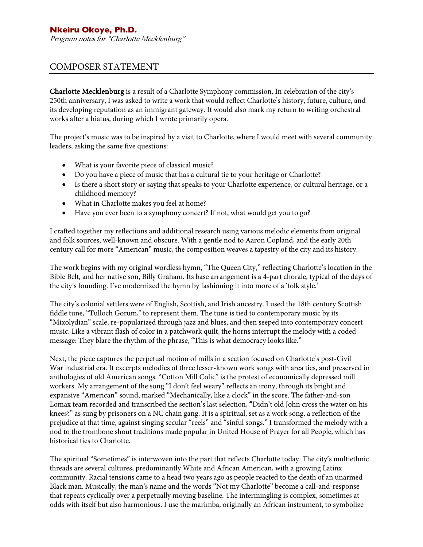Program notes for "Charlotte Mecklenburg"

#### COMPOSER STATEMENT

Charlotte Mecklenburg is a result of a Charlotte Symphony commission. In celebration of the city's 250th anniversary, I was asked to write a work that would reflect Charlotte's history, future, culture, and its developing reputation as an immigrant gateway. It would also mark my return to writing orchestral works after a hiatus, during which I wrote primarily opera.

The project's music was to be inspired by a visit to Charlotte, where I would meet with several community leaders, asking the same five questions:

- What is your favorite piece of classical music?
- Do you have a piece of music that has a cultural tie to your heritage or Charlotte?
- Is there a short story or saying that speaks to your Charlotte experience, or cultural heritage, or a childhood memory?
- What in Charlotte makes you feel at home?
- Have you ever been to a symphony concert? If not, what would get you to go?

I crafted together my reflections and additional research using various melodic elements from original and folk sources, well-known and obscure. With a gentle nod to Aaron Copland, and the early 20th century call for more "American" music, the composition weaves a tapestry of the city and its history.

The work begins with my original wordless hymn, "The Queen City," reflecting Charlotte's location in the Bible Belt, and her native son, Billy Graham. Its base arrangement is a 4-part chorale, typical of the days of the city's founding. I've modernized the hymn by fashioning it into more of a 'folk style.'

The city's colonial settlers were of English, Scottish, and Irish ancestry. I used the 18th century Scottish fiddle tune, "Tulloch Gorum," to represent them. The tune is tied to contemporary music by its "Mixolydian" scale, re-popularized through jazz and blues, and then seeped into contemporary concert music. Like a vibrant flash of color in a patchwork quilt, the horns interrupt the melody with a coded message: They blare the rhythm of the phrase, "This is what democracy looks like."

Next, the piece captures the perpetual motion of mills in a section focused on Charlotte's post-Civil War industrial era. It excerpts melodies of three lesser-known work songs with area ties, and preserved in anthologies of old American songs. "Cotton Mill Colic" is the protest of economically depressed mill workers. My arrangement of the song "I don't feel weary" reflects an irony, through its bright and expansive "American" sound, marked "Mechanically, like a clock" in the score. The father-and-son Lomax team recorded and transcribed the section's last selection, "Didn't old John cross the water on his knees?" as sung by prisoners on a NC chain gang. It is a spiritual, set as a work song, a reflection of the prejudice at that time, against singing secular "reels" and "sinful songs." I transformed the melody with a nod to the trombone shout traditions made popular in United House of Prayer for all People, which has historical ties to Charlotte.

The spiritual "Sometimes" is interwoven into the part that reflects Charlotte today. The city's multiethnic threads are several cultures, predominantly White and African American, with a growing Latinx community. Racial tensions came to a head two years ago as people reacted to the death of an unarmed Black man. Musically, the man's name and the words "Not my Charlotte" become a call-and-response that repeats cyclically over a perpetually moving baseline. The intermingling is complex, sometimes at odds with itself but also harmonious. I use the marimba, originally an African instrument, to symbolize